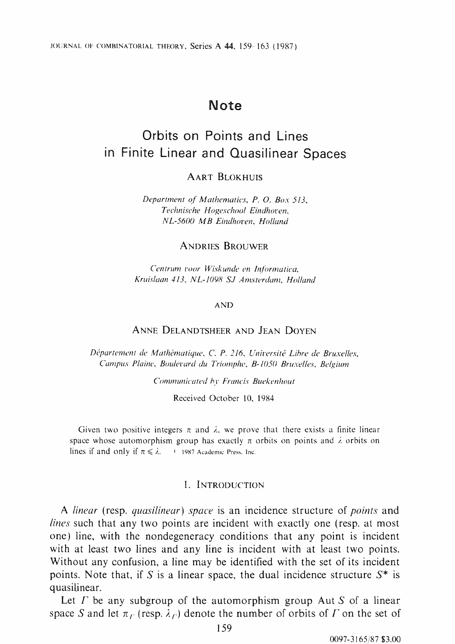# **Note**

# **Orbits on Points and Lines in Finite Linear and Quasilinear Spaces**

# AART BLOKHUIS

*Department of' Mathematics, P. 0. Box 513, Technische Hogeschoof Eindhoi•en, NL-5600 MB Einclhoven, Ho11and* 

# ANDRIES BROUWER

*C'entrum 1·oor Wiskunde en lr1formatica, Kruislaan 413, NL-1098 SJ Amsterdam, Holland* 

#### AND

# ANNE DELANDTSHEER AND JEAN DOYEN

*D£'partement de Mathematique, C. P. 216, Unfrersite Lihre de Bruxel/es, Campus Plaine, Boulei•ard du Triomphe, B-1050 Bruxefles, Belgium* 

*Communicated by Francis Buekenhout* 

Received October 10, 1984

Given two positive integers  $\pi$  and  $\lambda$ , we prove that there exists a finite linear space whose automorphism group has exactly  $\pi$  orbits on points and  $\lambda$  orbits on lines if and only if  $\pi \le \lambda$ . *i...* 1987 Academic Press. Inc.

#### I. INTRODUCTION

A *linear* (resp. *quasilinear) space* is an incidence structure of *points* and *lines* such that any two points are incident with exactly one (resp. at most one) line, with the nondegeneracy conditions that any point is incident with at least two lines and any line is incident with at least two points. Without any confusion, a line may be identified with the set of its incident points. Note that, if S is a linear space, the dual incidence structure  $S^*$  is quasilinear.

Let  $\Gamma$  be any subgroup of the automorphism group Aut  $S$  of a linear space S and let  $\pi_r$  (resp.  $\lambda_r$ ) denote the number of orbits of  $\Gamma$  on the set of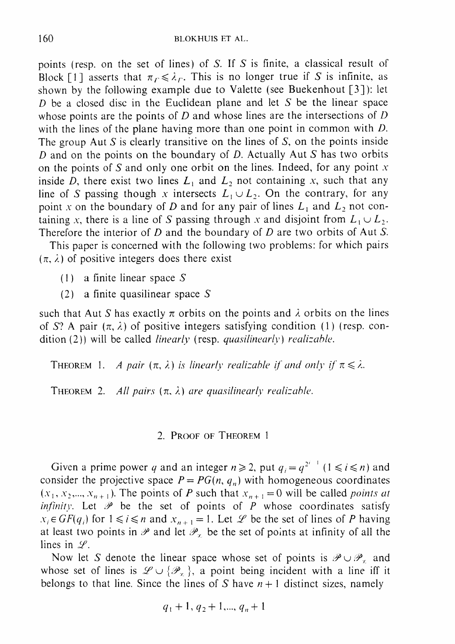points (resp. on the set of lines) of S. If S is finite, a classical result of Block [1] asserts that  $\pi_r \le \lambda_r$ . This is no longer true if S is infinite, as shown by the following example due to Valette (see Buekenhout [3]): let  $D$  be a closed disc in the Euclidean plane and let  $S$  be the linear space whose points are the points of  $D$  and whose lines are the intersections of  $D$ with the lines of the plane having more than one point in common with D. The group Aut  $S$  is clearly transitive on the lines of  $S$ , on the points inside  $D$  and on the points on the boundary of  $D$ . Actually Aut  $S$  has two orbits on the points of Sand only one orbit on the lines. Indeed, for any point *<sup>x</sup>* inside *D*, there exist two lines  $L_1$  and  $L_2$  not containing *x*, such that any line of *S* passing though *x* intersects  $L_1 \cup L_2$ . On the contrary, for any point *x* on the boundary of *D* and for any pair of lines  $L_1$  and  $L_2$  not containing *x*, there is a line of *S* passing through *x* and disjoint from  $L_1 \cup L_2$ . Therefore the interior of  $D$  and the boundary of  $D$  are two orbits of Aut  $S$ .

This paper is concerned with the following two problems: for which pairs  $(\pi, \lambda)$  of positive integers does there exist

- $(1)$  a finite linear space S
- (2) a finite quasilinear space S

such that Aut *S* has exactly  $\pi$  orbits on the points and  $\lambda$  orbits on the lines of S? A pair  $(\pi, \lambda)$  of positive integers satisfying condition (1) (resp. condition (2)) will be called *linearly* (resp. *quasilinearly*) *realizable*.

THEOREM 1. A pair  $(\pi, \lambda)$  is linearly realizable if and only if  $\pi \leq \lambda$ .

THEOREM 2. *All pairs*  $(\pi, \lambda)$  *are quasilinearly realizable.* 

## 2. PROOF OF THEOREM 1

Given a prime power q and an integer  $n \ge 2$ , put  $q_i = q^{2^{i-1}}$  ( $1 \le i \le n$ ) and consider the projective space  $P = PG(n, q_n)$  with homogeneous coordinates  $(x_1, x_2, \ldots, x_{n+1})$ . The points of *P* such that  $x_{n+1} = 0$  will be called *points at infinity.* Let  $\mathcal P$  be the set of points of  $P$  whose coordinates satisfy  $x_i \in GF(q_i)$  for  $1 \leq i \leq n$  and  $x_{n+1} = 1$ . Let  $\mathcal{L}$  be the set of lines of P having at least two points in  $\mathcal P$  and let  $\mathcal P_x$  be the set of points at infinity of all the lines in *Y.* 

Now let *S* denote the linear space whose set of points is  $\mathscr{P} \cup \mathscr{P}_x$  and whose set of lines is  $\mathscr{L} \cup {\{\mathscr{P}_{\tau}\}}$ , a point being incident with a line iff it belongs to that line. Since the lines of S have  $n+1$  distinct sizes, namely

$$
q_1+1, q_2+1, \ldots, q_n+1
$$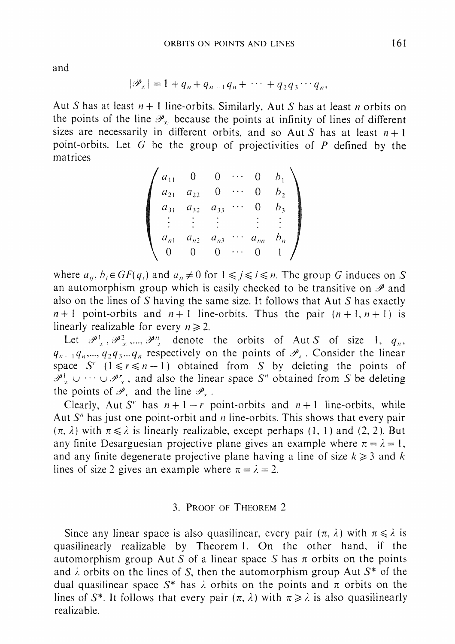and

$$
|\mathscr{P}_{\kappa}|=1+q_n+q_{n-1}q_n+\cdots+q_2q_3\cdots q_n,
$$

Aut *S* has at least  $n+1$  line-orbits. Similarly, Aut *S* has at least *n* orbits on the points of the line  $\mathcal{P}_{\tau}$  because the points at infinity of lines of different sizes are necessarily in different orbits, and so Aut S has at least  $n+1$ point-orbits. Let G be the group of projectivities of  $P$  defined by the matrices

$$
\begin{pmatrix} a_{11} & 0 & 0 & \cdots & 0 & b_1 \\ a_{21} & a_{22} & 0 & \cdots & 0 & b_2 \\ a_{31} & a_{32} & a_{33} & \cdots & 0 & b_3 \\ \vdots & \vdots & \vdots & & \vdots & \vdots \\ a_{n1} & a_{n2} & a_{n3} & \cdots & a_{nn} & b_n \\ 0 & 0 & 0 & \cdots & 0 & 1 \end{pmatrix}
$$

where  $a_{ii}$ ,  $b_i \in GF(q_i)$  and  $a_{ii} \neq 0$  for  $1 \leq i \leq n$ . The group G induces on *S* an automorphism group which is easily checked to be transitive on  $\mathscr P$  and also on the lines of S having the same size. It follows that Aut S has exactly  $n+1$  point-orbits and  $n+1$  line-orbits. Thus the pair  $(n+1, n+1)$  is linearly realizable for every  $n \ge 2$ .

Let  $\mathcal{P}^1$ ,  $\mathcal{P}^2$ , ...,  $\mathcal{P}^n$ , denote the orbits of AutS of size 1,  $q_n$ ,  $q_{n+1}q_n, \ldots, q_2q_3 \ldots q_n$  respectively on the points of  $\mathscr{P}_i$ . Consider the linear space S<sup>'</sup>  $(1 \le r \le n - 1)$  obtained from S by deleting the points of  $\mathcal{P}_{\tau}^{1} \cup \cdots \cup \mathcal{P}_{\tau}^{r}$ , and also the linear space S" obtained from S be deleting the points of  $\mathcal{P}_r$  and the line  $\mathcal{P}_r$ .

Clearly, Aut S<sup>r</sup> has  $n+1-r$  point-orbits and  $n+1$  line-orbits, while Aut S" has just one point-orbit and *n* line-orbits. This shows that every pair  $(\pi, \lambda)$  with  $\pi \le \lambda$  is linearly realizable, except perhaps (1, 1) and (2, 2). But any finite Desarguesian projective plane gives an example where  $\pi = \lambda = 1$ , and any finite degenerate projective plane having a line of size  $k \geq 3$  and k lines of size 2 gives an example where  $\pi = \lambda = 2$ .

# 3. PROOF OF THEOREM 2

Since any linear space is also quasilinear, every pair  $(\pi, \lambda)$  with  $\pi \leq \lambda$  is quasilinearly realizable by Theorem I. On the other hand, if the automorphism group Aut S of a linear space S has  $\pi$  orbits on the points and  $\lambda$  orbits on the lines of S, then the automorphism group Aut  $S^*$  of the dual quasilinear space  $S^*$  has  $\lambda$  orbits on the points and  $\pi$  orbits on the lines of S<sup>\*</sup>. It follows that every pair  $(\pi, \lambda)$  with  $\pi \geq \lambda$  is also quasilinearly realizable.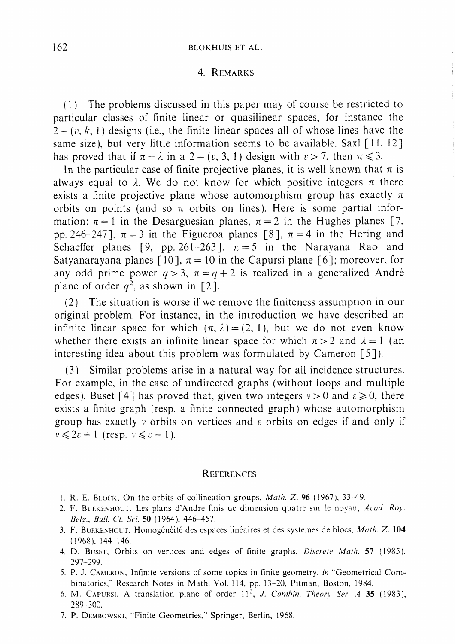#### 4. REMARKS

(I ) The problems discussed in this paper may of course be restricted to particular classes of finite linear or quasilinear spaces, for instance the  $2 - (v, k, 1)$  designs (i.e., the finite linear spaces all of whose lines have the same size), but very little information seems to be available. Saxl [11, 12] has proved that if  $\pi = \lambda$  in a 2 – (v, 3, 1) design with  $v > 7$ , then  $\pi \le 3$ .

In the particular case of finite projective planes, it is well known that  $\pi$  is always equal to  $\lambda$ . We do not know for which positive integers  $\pi$  there exists a finite projective plane whose automorphism group has exactly  $\pi$ orbits on points (and so  $\pi$  orbits on lines). Here is some partial information:  $\pi = 1$  in the Desarguesian planes,  $\pi = 2$  in the Hughes planes [7, pp. 246-247],  $\pi = 3$  in the Figueroa planes [8],  $\pi = 4$  in the Hering and Schaeffer planes [9, pp. 261-263],  $\pi = 5$  in the Narayana Rao and Satyanarayana planes [10],  $\pi = 10$  in the Capursi plane [6]; moreover, for any odd prime power  $q > 3$ ,  $\pi = q + 2$  is realized in a generalized André plane of order  $q^2$ , as shown in [2].

(2) The situation is worse if we remove the finiteness assumption in our original problem. For instance, in the introduction we have described an infinite linear space for which  $(\pi, \lambda) = (2, 1)$ , but we do not even know whether there exists an infinite linear space for which  $\pi > 2$  and  $\lambda = 1$  (an interesting idea about this problem was formulated by Cameron [5] ).

(3) Similar problems arise in a natural way for all incidence structures. For example, in the case of undirected graphs (without loops and multiple edges), Buset [4] has proved that, given two integers  $v > 0$  and  $\varepsilon \ge 0$ , there exists a finite graph ( resp. a finite connected graph) whose automorphism group has exactly *v* orbits on vertices and  $\varepsilon$  orbits on edges if and only if  $v \leq 2\varepsilon + 1$  (resp.  $v \leq \varepsilon + 1$ ).

## **REFERENCES**

- 1. R. E. BLOCK, On the orbits of collineation groups, *Math. Z.* 96 ( 1967 ), 33-49.
- 2. F. BUEKENHOUT. Les plans d'Andre finis de dimension quatre sur le noyau, *Acad. Roy. &lg., Bull. Cl. Sci.* 50 ( 1964 ). 446-457.
- 3. F. BUEKENHOUT, Homogénéité des espaces linéaires et des systèmes de blocs, *Math. Z.* 104 ( 1968), 144-146.
- 4. D. BusET. Orbits on vertices and edges of finite graphs, *Discrete Math.* 57 ( 1985 ). 297-299.
- 5. P. J. CAMERON, Infinite versions of some topics in finite geometry, *in* "Geometrical Combinatorics," Research Notes in Math. Vol. 114, pp. 13-20, Pitman, Boston, 1984.
- 6. M. Capursi, A translation plane of order 11<sup>2</sup>, J. *Combin. Theory Ser. A* 35 (1983), 289-300.
- 7. P. DEMBOWSKI, "Finite Geometries," Springer, Berlin, 1968.